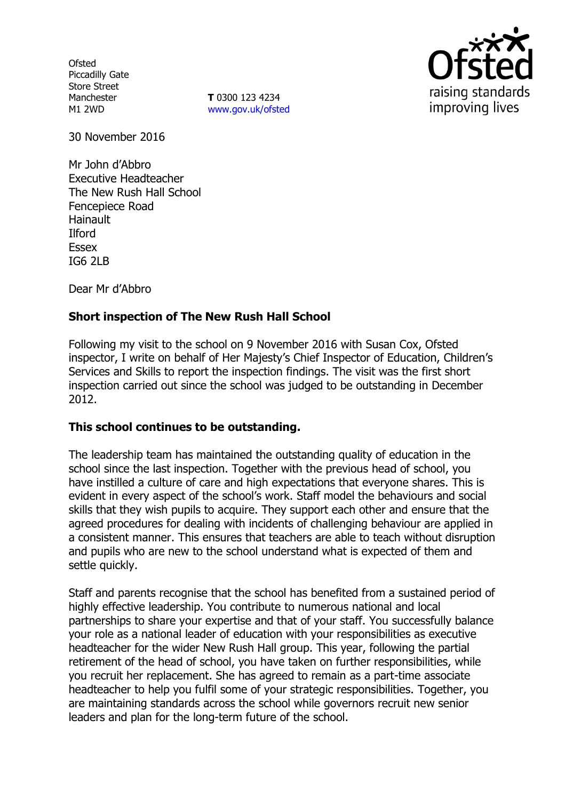**Ofsted** Piccadilly Gate Store Street Manchester M1 2WD

**T** 0300 123 4234 www.gov.uk/ofsted



30 November 2016

Mr John d'Abbro Executive Headteacher The New Rush Hall School Fencepiece Road **Hainault** Ilford Essex IG6 2LB

Dear Mr d'Abbro

# **Short inspection of The New Rush Hall School**

Following my visit to the school on 9 November 2016 with Susan Cox, Ofsted inspector, I write on behalf of Her Majesty's Chief Inspector of Education, Children's Services and Skills to report the inspection findings. The visit was the first short inspection carried out since the school was judged to be outstanding in December 2012.

### **This school continues to be outstanding.**

The leadership team has maintained the outstanding quality of education in the school since the last inspection. Together with the previous head of school, you have instilled a culture of care and high expectations that everyone shares. This is evident in every aspect of the school's work. Staff model the behaviours and social skills that they wish pupils to acquire. They support each other and ensure that the agreed procedures for dealing with incidents of challenging behaviour are applied in a consistent manner. This ensures that teachers are able to teach without disruption and pupils who are new to the school understand what is expected of them and settle quickly.

Staff and parents recognise that the school has benefited from a sustained period of highly effective leadership. You contribute to numerous national and local partnerships to share your expertise and that of your staff. You successfully balance your role as a national leader of education with your responsibilities as executive headteacher for the wider New Rush Hall group. This year, following the partial retirement of the head of school, you have taken on further responsibilities, while you recruit her replacement. She has agreed to remain as a part-time associate headteacher to help you fulfil some of your strategic responsibilities. Together, you are maintaining standards across the school while governors recruit new senior leaders and plan for the long-term future of the school.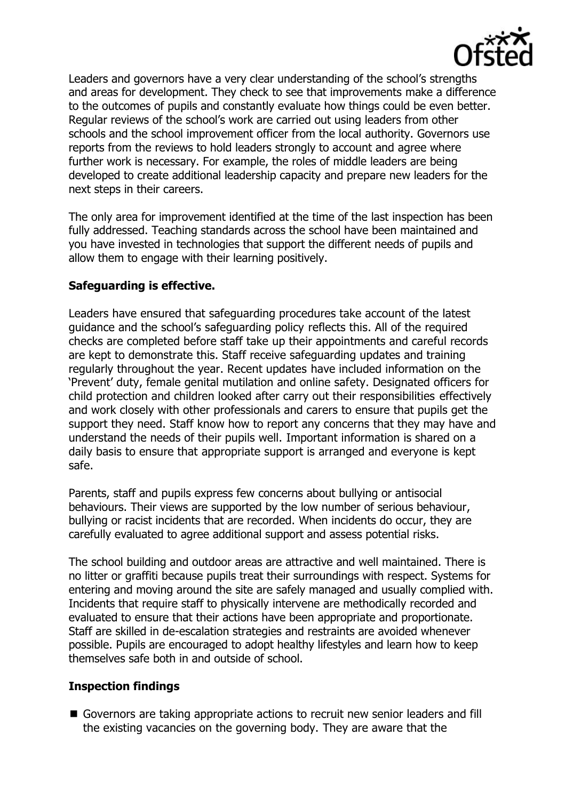

Leaders and governors have a very clear understanding of the school's strengths and areas for development. They check to see that improvements make a difference to the outcomes of pupils and constantly evaluate how things could be even better. Regular reviews of the school's work are carried out using leaders from other schools and the school improvement officer from the local authority. Governors use reports from the reviews to hold leaders strongly to account and agree where further work is necessary. For example, the roles of middle leaders are being developed to create additional leadership capacity and prepare new leaders for the next steps in their careers.

The only area for improvement identified at the time of the last inspection has been fully addressed. Teaching standards across the school have been maintained and you have invested in technologies that support the different needs of pupils and allow them to engage with their learning positively.

# **Safeguarding is effective.**

Leaders have ensured that safeguarding procedures take account of the latest guidance and the school's safeguarding policy reflects this. All of the required checks are completed before staff take up their appointments and careful records are kept to demonstrate this. Staff receive safeguarding updates and training regularly throughout the year. Recent updates have included information on the 'Prevent' duty, female genital mutilation and online safety. Designated officers for child protection and children looked after carry out their responsibilities effectively and work closely with other professionals and carers to ensure that pupils get the support they need. Staff know how to report any concerns that they may have and understand the needs of their pupils well. Important information is shared on a daily basis to ensure that appropriate support is arranged and everyone is kept safe.

Parents, staff and pupils express few concerns about bullying or antisocial behaviours. Their views are supported by the low number of serious behaviour, bullying or racist incidents that are recorded. When incidents do occur, they are carefully evaluated to agree additional support and assess potential risks.

The school building and outdoor areas are attractive and well maintained. There is no litter or graffiti because pupils treat their surroundings with respect. Systems for entering and moving around the site are safely managed and usually complied with. Incidents that require staff to physically intervene are methodically recorded and evaluated to ensure that their actions have been appropriate and proportionate. Staff are skilled in de-escalation strategies and restraints are avoided whenever possible. Pupils are encouraged to adopt healthy lifestyles and learn how to keep themselves safe both in and outside of school.

### **Inspection findings**

Governors are taking appropriate actions to recruit new senior leaders and fill the existing vacancies on the governing body. They are aware that the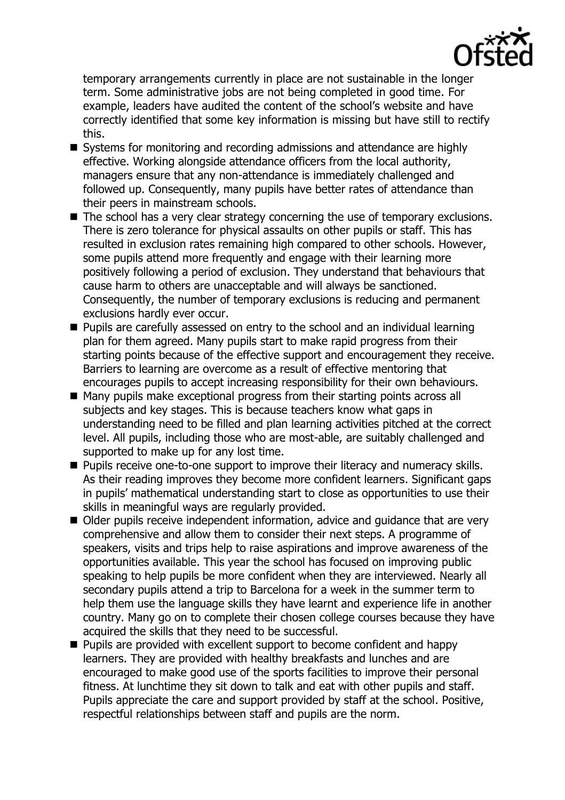

temporary arrangements currently in place are not sustainable in the longer term. Some administrative jobs are not being completed in good time. For example, leaders have audited the content of the school's website and have correctly identified that some key information is missing but have still to rectify this.

- Systems for monitoring and recording admissions and attendance are highly effective. Working alongside attendance officers from the local authority, managers ensure that any non-attendance is immediately challenged and followed up. Consequently, many pupils have better rates of attendance than their peers in mainstream schools.
- $\blacksquare$  The school has a very clear strategy concerning the use of temporary exclusions. There is zero tolerance for physical assaults on other pupils or staff. This has resulted in exclusion rates remaining high compared to other schools. However, some pupils attend more frequently and engage with their learning more positively following a period of exclusion. They understand that behaviours that cause harm to others are unacceptable and will always be sanctioned. Consequently, the number of temporary exclusions is reducing and permanent exclusions hardly ever occur.
- Pupils are carefully assessed on entry to the school and an individual learning plan for them agreed. Many pupils start to make rapid progress from their starting points because of the effective support and encouragement they receive. Barriers to learning are overcome as a result of effective mentoring that encourages pupils to accept increasing responsibility for their own behaviours.
- Many pupils make exceptional progress from their starting points across all subjects and key stages. This is because teachers know what gaps in understanding need to be filled and plan learning activities pitched at the correct level. All pupils, including those who are most-able, are suitably challenged and supported to make up for any lost time.
- **Pupils receive one-to-one support to improve their literacy and numeracy skills.** As their reading improves they become more confident learners. Significant gaps in pupils' mathematical understanding start to close as opportunities to use their skills in meaningful ways are regularly provided.
- Older pupils receive independent information, advice and quidance that are very comprehensive and allow them to consider their next steps. A programme of speakers, visits and trips help to raise aspirations and improve awareness of the opportunities available. This year the school has focused on improving public speaking to help pupils be more confident when they are interviewed. Nearly all secondary pupils attend a trip to Barcelona for a week in the summer term to help them use the language skills they have learnt and experience life in another country. Many go on to complete their chosen college courses because they have acquired the skills that they need to be successful.
- **Pupils are provided with excellent support to become confident and happy** learners. They are provided with healthy breakfasts and lunches and are encouraged to make good use of the sports facilities to improve their personal fitness. At lunchtime they sit down to talk and eat with other pupils and staff. Pupils appreciate the care and support provided by staff at the school. Positive, respectful relationships between staff and pupils are the norm.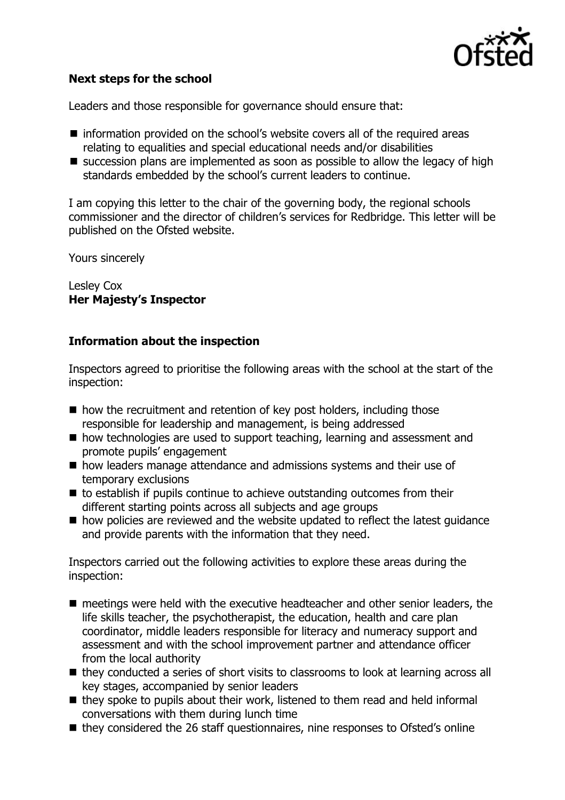

# **Next steps for the school**

Leaders and those responsible for governance should ensure that:

- information provided on the school's website covers all of the required areas relating to equalities and special educational needs and/or disabilities
- $\blacksquare$  succession plans are implemented as soon as possible to allow the legacy of high standards embedded by the school's current leaders to continue.

I am copying this letter to the chair of the governing body, the regional schools commissioner and the director of children's services for Redbridge. This letter will be published on the Ofsted website.

Yours sincerely

Lesley Cox **Her Majesty's Inspector**

### **Information about the inspection**

Inspectors agreed to prioritise the following areas with the school at the start of the inspection:

- how the recruitment and retention of key post holders, including those responsible for leadership and management, is being addressed
- how technologies are used to support teaching, learning and assessment and promote pupils' engagement
- how leaders manage attendance and admissions systems and their use of temporary exclusions
- $\blacksquare$  to establish if pupils continue to achieve outstanding outcomes from their different starting points across all subjects and age groups
- how policies are reviewed and the website updated to reflect the latest quidance and provide parents with the information that they need.

Inspectors carried out the following activities to explore these areas during the inspection:

- meetings were held with the executive headteacher and other senior leaders, the life skills teacher, the psychotherapist, the education, health and care plan coordinator, middle leaders responsible for literacy and numeracy support and assessment and with the school improvement partner and attendance officer from the local authority
- they conducted a series of short visits to classrooms to look at learning across all key stages, accompanied by senior leaders
- $\blacksquare$  they spoke to pupils about their work, listened to them read and held informal conversations with them during lunch time
- they considered the 26 staff questionnaires, nine responses to Ofsted's online